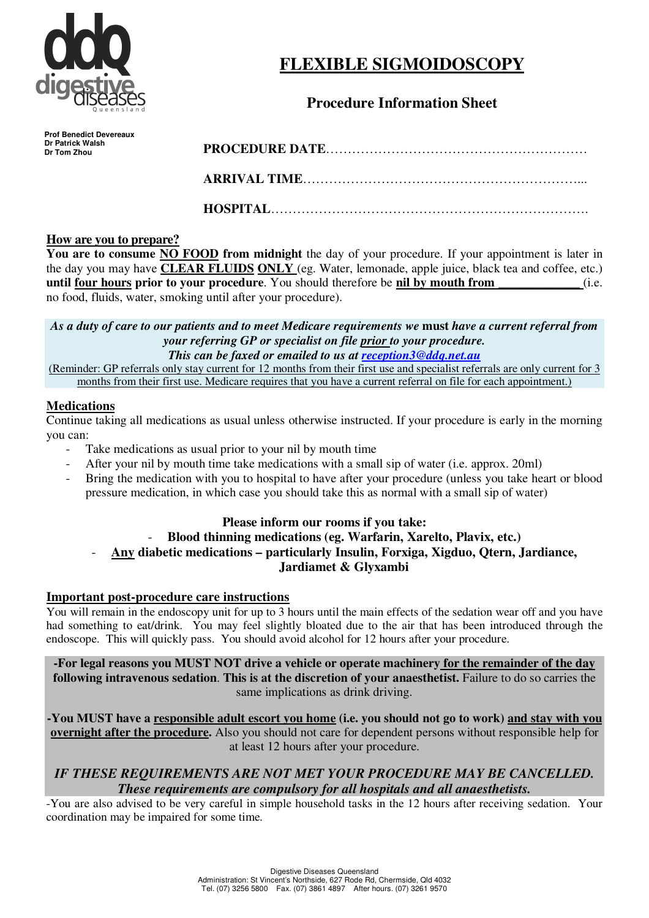

# **FLEXIBLE SIGMOIDOSCOPY**

# **Procedure Information Sheet**

**Prof Benedict Devereaux Dr Patrick Walsh Dr Tom Zhou** 

# **PROCEDURE DATE**……………………………………………………

**ARRIVAL TIME**………………………………………………………...

**HOSPITAL**……………………………………………………………….

# **How are you to prepare?**

**You are to consume NO FOOD from midnight** the day of your procedure. If your appointment is later in the day you may have **CLEAR FLUIDS ONLY** (eg. Water, lemonade, apple juice, black tea and coffee, etc.) **until four hours prior to your procedure**. You should therefore be **nil by mouth from**  $(i.e.$ no food, fluids, water, smoking until after your procedure).

*As a duty of care to our patients and to meet Medicare requirements we* **must** *have a current referral from your referring GP or specialist on file prior to your procedure. This can be faxed or emailed to us at reception3@ddq.net.au*

(Reminder: GP referrals only stay current for 12 months from their first use and specialist referrals are only current for 3 months from their first use. Medicare requires that you have a current referral on file for each appointment.)

# **Medications**

Continue taking all medications as usual unless otherwise instructed. If your procedure is early in the morning you can:

- Take medications as usual prior to your nil by mouth time
- After your nil by mouth time take medications with a small sip of water (i.e. approx. 20ml)
- Bring the medication with you to hospital to have after your procedure (unless you take heart or blood pressure medication, in which case you should take this as normal with a small sip of water)

# **Please inform our rooms if you take:**

# - **Blood thinning medications (eg. Warfarin, Xarelto, Plavix, etc.)**  - **Any diabetic medications – particularly Insulin, Forxiga, Xigduo, Qtern, Jardiance, Jardiamet & Glyxambi**

# **Important post-procedure care instructions**

You will remain in the endoscopy unit for up to 3 hours until the main effects of the sedation wear off and you have had something to eat/drink. You may feel slightly bloated due to the air that has been introduced through the endoscope. This will quickly pass. You should avoid alcohol for 12 hours after your procedure.

**-For legal reasons you MUST NOT drive a vehicle or operate machinery for the remainder of the day following intravenous sedation**. **This is at the discretion of your anaesthetist.** Failure to do so carries the same implications as drink driving.

**-You MUST have a responsible adult escort you home (i.e. you should not go to work) and stay with you overnight after the procedure.** Also you should not care for dependent persons without responsible help for at least 12 hours after your procedure.

# *IF THESE REQUIREMENTS ARE NOT MET YOUR PROCEDURE MAY BE CANCELLED. These requirements are compulsory for all hospitals and all anaesthetists.*

-You are also advised to be very careful in simple household tasks in the 12 hours after receiving sedation. Your coordination may be impaired for some time.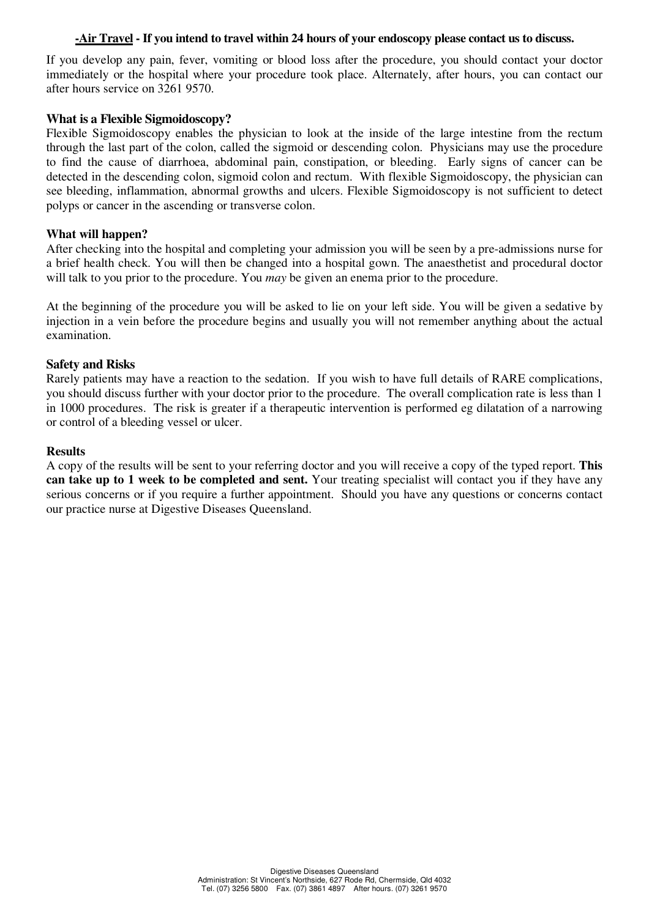#### **-Air Travel - If you intend to travel within 24 hours of your endoscopy please contact us to discuss.**

If you develop any pain, fever, vomiting or blood loss after the procedure, you should contact your doctor immediately or the hospital where your procedure took place. Alternately, after hours, you can contact our after hours service on 3261 9570.

#### **What is a Flexible Sigmoidoscopy?**

Flexible Sigmoidoscopy enables the physician to look at the inside of the large intestine from the rectum through the last part of the colon, called the sigmoid or descending colon. Physicians may use the procedure to find the cause of diarrhoea, abdominal pain, constipation, or bleeding. Early signs of cancer can be detected in the descending colon, sigmoid colon and rectum. With flexible Sigmoidoscopy, the physician can see bleeding, inflammation, abnormal growths and ulcers. Flexible Sigmoidoscopy is not sufficient to detect polyps or cancer in the ascending or transverse colon.

#### **What will happen?**

After checking into the hospital and completing your admission you will be seen by a pre-admissions nurse for a brief health check. You will then be changed into a hospital gown. The anaesthetist and procedural doctor will talk to you prior to the procedure. You *may* be given an enema prior to the procedure.

At the beginning of the procedure you will be asked to lie on your left side. You will be given a sedative by injection in a vein before the procedure begins and usually you will not remember anything about the actual examination.

#### **Safety and Risks**

Rarely patients may have a reaction to the sedation. If you wish to have full details of RARE complications, you should discuss further with your doctor prior to the procedure. The overall complication rate is less than 1 in 1000 procedures. The risk is greater if a therapeutic intervention is performed eg dilatation of a narrowing or control of a bleeding vessel or ulcer.

#### **Results**

A copy of the results will be sent to your referring doctor and you will receive a copy of the typed report. **This can take up to 1 week to be completed and sent.** Your treating specialist will contact you if they have any serious concerns or if you require a further appointment. Should you have any questions or concerns contact our practice nurse at Digestive Diseases Queensland.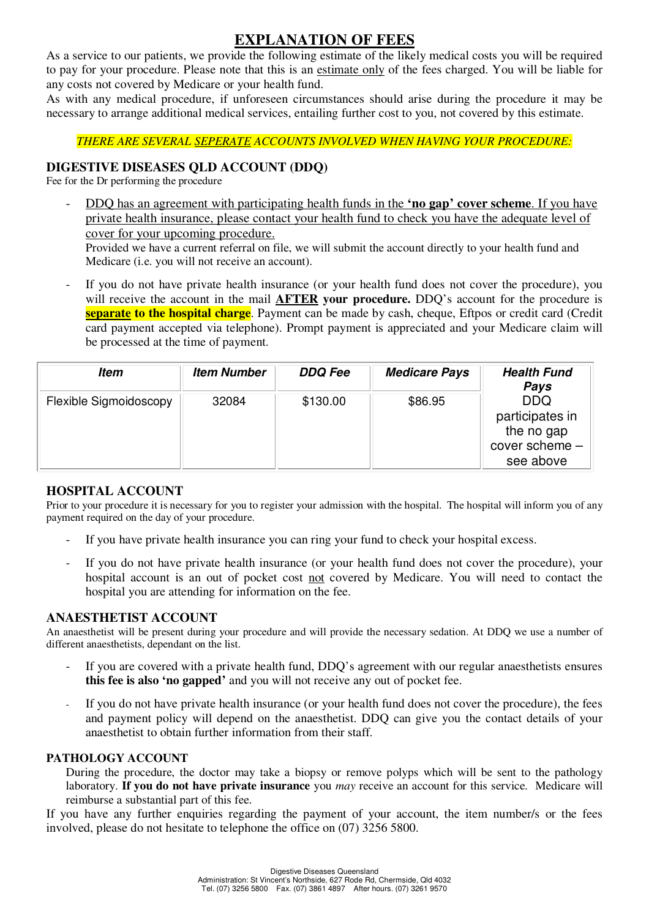# **EXPLANATION OF FEES**

As a service to our patients, we provide the following estimate of the likely medical costs you will be required to pay for your procedure. Please note that this is an estimate only of the fees charged. You will be liable for any costs not covered by Medicare or your health fund.

As with any medical procedure, if unforeseen circumstances should arise during the procedure it may be necessary to arrange additional medical services, entailing further cost to you, not covered by this estimate.

#### *THERE ARE SEVERAL SEPERATE ACCOUNTS INVOLVED WHEN HAVING YOUR PROCEDURE:*

#### **DIGESTIVE DISEASES QLD ACCOUNT (DDQ)**

Fee for the Dr performing the procedure

- DDQ has an agreement with participating health funds in the **'no gap' cover scheme**. If you have private health insurance, please contact your health fund to check you have the adequate level of cover for your upcoming procedure.

Provided we have a current referral on file, we will submit the account directly to your health fund and Medicare (i.e. you will not receive an account).

If you do not have private health insurance (or your health fund does not cover the procedure), you will receive the account in the mail **AFTER your procedure.** DDQ's account for the procedure is **separate to the hospital charge**. Payment can be made by cash, cheque, Eftpos or credit card (Credit card payment accepted via telephone). Prompt payment is appreciated and your Medicare claim will be processed at the time of payment.

| ltem                   | <b>Item Number</b> | <b>DDQ Fee</b> | <b>Medicare Pays</b> | <b>Health Fund</b><br>Pays                                                 |
|------------------------|--------------------|----------------|----------------------|----------------------------------------------------------------------------|
| Flexible Sigmoidoscopy | 32084              | \$130.00       | \$86.95              | <b>DDQ</b><br>participates in<br>the no gap<br>cover scheme -<br>see above |

#### **HOSPITAL ACCOUNT**

Prior to your procedure it is necessary for you to register your admission with the hospital. The hospital will inform you of any payment required on the day of your procedure.

- If you have private health insurance you can ring your fund to check your hospital excess.
- If you do not have private health insurance (or your health fund does not cover the procedure), your hospital account is an out of pocket cost not covered by Medicare. You will need to contact the hospital you are attending for information on the fee.

#### **ANAESTHETIST ACCOUNT**

An anaesthetist will be present during your procedure and will provide the necessary sedation. At DDQ we use a number of different anaesthetists, dependant on the list.

- If you are covered with a private health fund, DDO's agreement with our regular anaesthetists ensures **this fee is also 'no gapped'** and you will not receive any out of pocket fee.
- If you do not have private health insurance (or your health fund does not cover the procedure), the fees and payment policy will depend on the anaesthetist. DDQ can give you the contact details of your anaesthetist to obtain further information from their staff.

#### **PATHOLOGY ACCOUNT**

During the procedure, the doctor may take a biopsy or remove polyps which will be sent to the pathology laboratory. **If you do not have private insurance** you *may* receive an account for this service. Medicare will reimburse a substantial part of this fee.

If you have any further enquiries regarding the payment of your account, the item number/s or the fees involved, please do not hesitate to telephone the office on (07) 3256 5800.